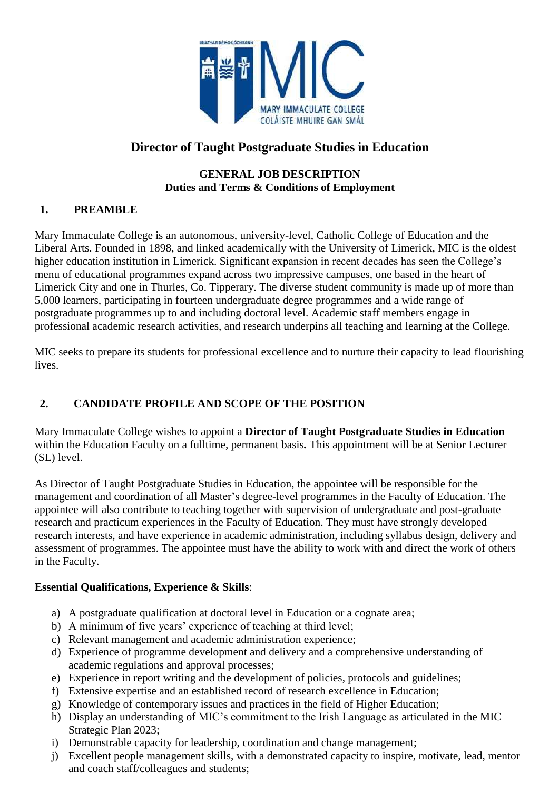

# **Director of Taught Postgraduate Studies in Education**

#### **GENERAL JOB DESCRIPTION Duties and Terms & Conditions of Employment**

# **1. PREAMBLE**

Mary Immaculate College is an autonomous, university-level, Catholic College of Education and the Liberal Arts. Founded in 1898, and linked academically with the University of Limerick, MIC is the oldest higher education institution in Limerick. Significant expansion in recent decades has seen the College's menu of educational programmes expand across two impressive campuses, one based in the heart of Limerick City and one in Thurles, Co. Tipperary. The diverse student community is made up of more than 5,000 learners, participating in fourteen undergraduate degree programmes and a wide range of postgraduate programmes up to and including doctoral level. Academic staff members engage in professional academic research activities, and research underpins all teaching and learning at the College.

MIC seeks to prepare its students for professional excellence and to nurture their capacity to lead flourishing lives.

# **2. CANDIDATE PROFILE AND SCOPE OF THE POSITION**

Mary Immaculate College wishes to appoint a **Director of Taught Postgraduate Studies in Education** within the Education Faculty on a fulltime, permanent basis*.* This appointment will be at Senior Lecturer (SL) level.

As Director of Taught Postgraduate Studies in Education, the appointee will be responsible for the management and coordination of all Master's degree-level programmes in the Faculty of Education. The appointee will also contribute to teaching together with supervision of undergraduate and post-graduate research and practicum experiences in the Faculty of Education. They must have strongly developed research interests, and have experience in academic administration, including syllabus design, delivery and assessment of programmes. The appointee must have the ability to work with and direct the work of others in the Faculty.

### **Essential Qualifications, Experience & Skills**:

- a) A postgraduate qualification at doctoral level in Education or a cognate area;
- b) A minimum of five years' experience of teaching at third level;
- c) Relevant management and academic administration experience;
- d) Experience of programme development and delivery and a comprehensive understanding of academic regulations and approval processes;
- e) Experience in report writing and the development of policies, protocols and guidelines;
- f) Extensive expertise and an established record of research excellence in Education;
- g) Knowledge of contemporary issues and practices in the field of Higher Education;
- h) Display an understanding of MIC's commitment to the Irish Language as articulated in the MIC Strategic Plan 2023;
- i) Demonstrable capacity for leadership, coordination and change management;
- j) Excellent people management skills, with a demonstrated capacity to inspire, motivate, lead, mentor and coach staff/colleagues and students;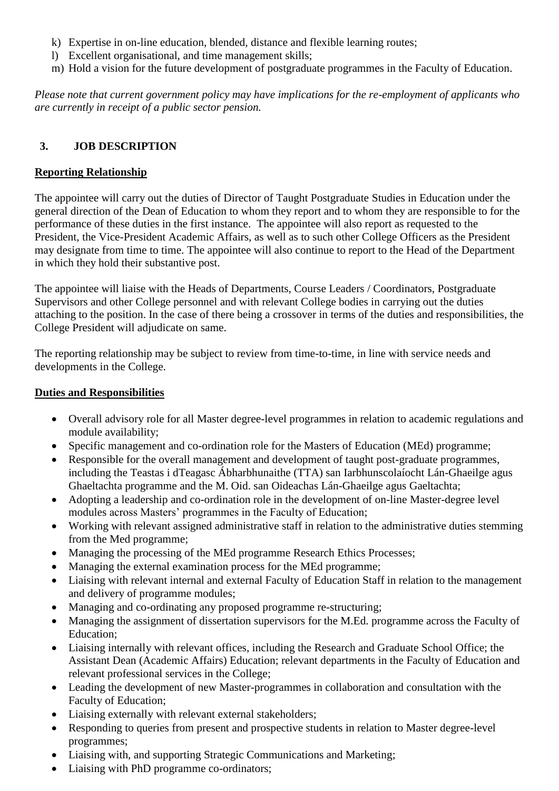- k) Expertise in on-line education, blended, distance and flexible learning routes;
- l) Excellent organisational, and time management skills;
- m) Hold a vision for the future development of postgraduate programmes in the Faculty of Education.

*Please note that current government policy may have implications for the re-employment of applicants who are currently in receipt of a public sector pension.*

# **3. JOB DESCRIPTION**

### **Reporting Relationship**

The appointee will carry out the duties of Director of Taught Postgraduate Studies in Education under the general direction of the Dean of Education to whom they report and to whom they are responsible to for the performance of these duties in the first instance. The appointee will also report as requested to the President, the Vice-President Academic Affairs, as well as to such other College Officers as the President may designate from time to time. The appointee will also continue to report to the Head of the Department in which they hold their substantive post.

The appointee will liaise with the Heads of Departments, Course Leaders / Coordinators, Postgraduate Supervisors and other College personnel and with relevant College bodies in carrying out the duties attaching to the position. In the case of there being a crossover in terms of the duties and responsibilities, the College President will adjudicate on same.

The reporting relationship may be subject to review from time-to-time, in line with service needs and developments in the College.

### **Duties and Responsibilities**

- Overall advisory role for all Master degree-level programmes in relation to academic regulations and module availability;
- Specific management and co-ordination role for the Masters of Education (MEd) programme;
- Responsible for the overall management and development of taught post-graduate programmes, including the Teastas i dTeagasc Ábharbhunaithe (TTA) san Iarbhunscolaíocht Lán-Ghaeilge agus Ghaeltachta programme and the M. Oid. san Oideachas Lán-Ghaeilge agus Gaeltachta;
- Adopting a leadership and co-ordination role in the development of on-line Master-degree level modules across Masters' programmes in the Faculty of Education;
- Working with relevant assigned administrative staff in relation to the administrative duties stemming from the Med programme;
- Managing the processing of the MEd programme Research Ethics Processes;
- Managing the external examination process for the MEd programme;
- Liaising with relevant internal and external Faculty of Education Staff in relation to the management and delivery of programme modules;
- Managing and co-ordinating any proposed programme re-structuring;
- Managing the assignment of dissertation supervisors for the M.Ed. programme across the Faculty of Education;
- Liaising internally with relevant offices, including the Research and Graduate School Office; the Assistant Dean (Academic Affairs) Education; relevant departments in the Faculty of Education and relevant professional services in the College;
- Leading the development of new Master-programmes in collaboration and consultation with the Faculty of Education;
- Liaising externally with relevant external stakeholders;
- Responding to queries from present and prospective students in relation to Master degree-level programmes;
- Liaising with, and supporting Strategic Communications and Marketing;
- Liaising with PhD programme co-ordinators;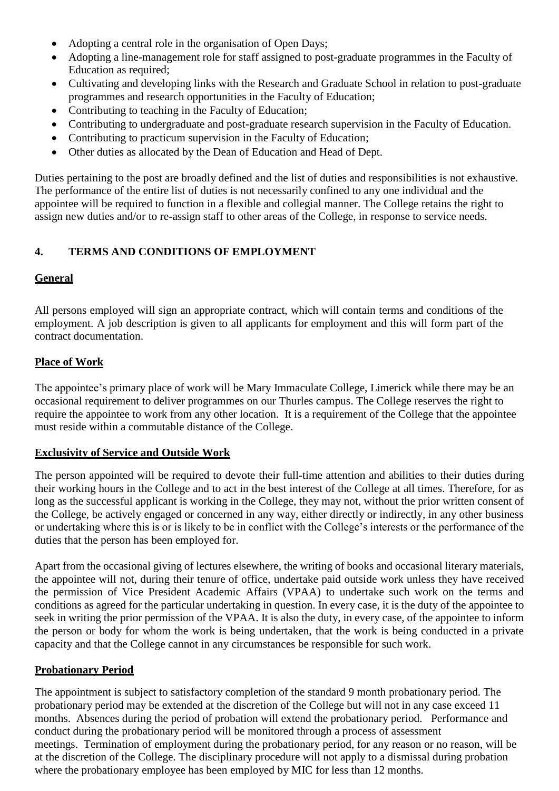- Adopting a central role in the organisation of Open Days;
- Adopting a line-management role for staff assigned to post-graduate programmes in the Faculty of Education as required;
- Cultivating and developing links with the Research and Graduate School in relation to post-graduate programmes and research opportunities in the Faculty of Education;
- Contributing to teaching in the Faculty of Education;
- Contributing to undergraduate and post-graduate research supervision in the Faculty of Education.
- Contributing to practicum supervision in the Faculty of Education;
- Other duties as allocated by the Dean of Education and Head of Dept.

Duties pertaining to the post are broadly defined and the list of duties and responsibilities is not exhaustive. The performance of the entire list of duties is not necessarily confined to any one individual and the appointee will be required to function in a flexible and collegial manner. The College retains the right to assign new duties and/or to re-assign staff to other areas of the College, in response to service needs.

### **4. TERMS AND CONDITIONS OF EMPLOYMENT**

### **General**

All persons employed will sign an appropriate contract, which will contain terms and conditions of the employment. A job description is given to all applicants for employment and this will form part of the contract documentation.

### **Place of Work**

The appointee's primary place of work will be Mary Immaculate College, Limerick while there may be an occasional requirement to deliver programmes on our Thurles campus. The College reserves the right to require the appointee to work from any other location. It is a requirement of the College that the appointee must reside within a commutable distance of the College.

#### **Exclusivity of Service and Outside Work**

The person appointed will be required to devote their full-time attention and abilities to their duties during their working hours in the College and to act in the best interest of the College at all times. Therefore, for as long as the successful applicant is working in the College, they may not, without the prior written consent of the College, be actively engaged or concerned in any way, either directly or indirectly, in any other business or undertaking where this is or is likely to be in conflict with the College's interests or the performance of the duties that the person has been employed for.

Apart from the occasional giving of lectures elsewhere, the writing of books and occasional literary materials, the appointee will not, during their tenure of office, undertake paid outside work unless they have received the permission of Vice President Academic Affairs (VPAA) to undertake such work on the terms and conditions as agreed for the particular undertaking in question. In every case, it is the duty of the appointee to seek in writing the prior permission of the VPAA. It is also the duty, in every case, of the appointee to inform the person or body for whom the work is being undertaken, that the work is being conducted in a private capacity and that the College cannot in any circumstances be responsible for such work.

#### **Probationary Period**

The appointment is subject to satisfactory completion of the standard 9 month probationary period. The probationary period may be extended at the discretion of the College but will not in any case exceed 11 months. Absences during the period of probation will extend the probationary period. Performance and conduct during the probationary period will be monitored through a process of assessment meetings. Termination of employment during the probationary period, for any reason or no reason, will be at the discretion of the College. The disciplinary procedure will not apply to a dismissal during probation where the probationary employee has been employed by MIC for less than 12 months.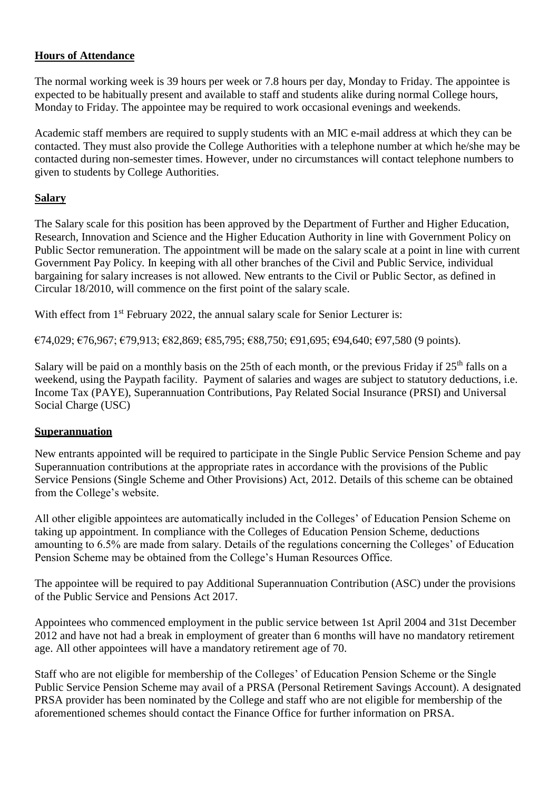### **Hours of Attendance**

The normal working week is 39 hours per week or 7.8 hours per day, Monday to Friday. The appointee is expected to be habitually present and available to staff and students alike during normal College hours, Monday to Friday. The appointee may be required to work occasional evenings and weekends.

Academic staff members are required to supply students with an MIC e-mail address at which they can be contacted. They must also provide the College Authorities with a telephone number at which he/she may be contacted during non-semester times. However, under no circumstances will contact telephone numbers to given to students by College Authorities.

### **Salary**

The Salary scale for this position has been approved by the Department of Further and Higher Education, Research, Innovation and Science and the Higher Education Authority in line with Government Policy on Public Sector remuneration. The appointment will be made on the salary scale at a point in line with current Government Pay Policy. In keeping with all other branches of the Civil and Public Service, individual bargaining for salary increases is not allowed. New entrants to the Civil or Public Sector, as defined in Circular 18/2010, will commence on the first point of the salary scale.

With effect from 1<sup>st</sup> February 2022, the annual salary scale for Senior Lecturer is:

 $\epsilon$ 74,029;  $\epsilon$ 76,967;  $\epsilon$ 79,913;  $\epsilon$ 82,869;  $\epsilon$ 85,795;  $\epsilon$ 88,750;  $\epsilon$ 91,695;  $\epsilon$ 94,640;  $\epsilon$ 97,580 (9 points).

Salary will be paid on a monthly basis on the 25th of each month, or the previous Friday if 25<sup>th</sup> falls on a weekend, using the Paypath facility. Payment of salaries and wages are subject to statutory deductions, i.e. Income Tax (PAYE), Superannuation Contributions, Pay Related Social Insurance (PRSI) and Universal Social Charge (USC)

#### **Superannuation**

New entrants appointed will be required to participate in the Single Public Service Pension Scheme and pay Superannuation contributions at the appropriate rates in accordance with the provisions of the Public Service Pensions (Single Scheme and Other Provisions) Act, 2012. Details of this scheme can be obtained from the College's website.

All other eligible appointees are automatically included in the Colleges' of Education Pension Scheme on taking up appointment. In compliance with the Colleges of Education Pension Scheme, deductions amounting to 6.5% are made from salary. Details of the regulations concerning the Colleges' of Education Pension Scheme may be obtained from the College's Human Resources Office.

The appointee will be required to pay Additional Superannuation Contribution (ASC) under the provisions of the Public Service and Pensions Act 2017.

Appointees who commenced employment in the public service between 1st April 2004 and 31st December 2012 and have not had a break in employment of greater than 6 months will have no mandatory retirement age. All other appointees will have a mandatory retirement age of 70.

Staff who are not eligible for membership of the Colleges' of Education Pension Scheme or the Single Public Service Pension Scheme may avail of a PRSA (Personal Retirement Savings Account). A designated PRSA provider has been nominated by the College and staff who are not eligible for membership of the aforementioned schemes should contact the Finance Office for further information on PRSA.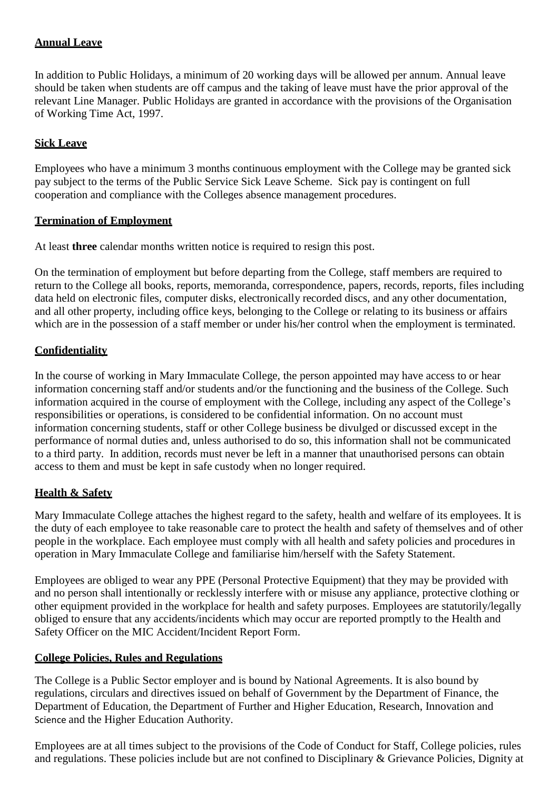### **Annual Leave**

In addition to Public Holidays, a minimum of 20 working days will be allowed per annum. Annual leave should be taken when students are off campus and the taking of leave must have the prior approval of the relevant Line Manager. Public Holidays are granted in accordance with the provisions of the Organisation of Working Time Act, 1997.

### **Sick Leave**

Employees who have a minimum 3 months continuous employment with the College may be granted sick pay subject to the terms of the Public Service Sick Leave Scheme. Sick pay is contingent on full cooperation and compliance with the Colleges absence management procedures.

### **Termination of Employment**

At least **three** calendar months written notice is required to resign this post.

On the termination of employment but before departing from the College, staff members are required to return to the College all books, reports, memoranda, correspondence, papers, records, reports, files including data held on electronic files, computer disks, electronically recorded discs, and any other documentation, and all other property, including office keys, belonging to the College or relating to its business or affairs which are in the possession of a staff member or under his/her control when the employment is terminated.

### **Confidentiality**

In the course of working in Mary Immaculate College, the person appointed may have access to or hear information concerning staff and/or students and/or the functioning and the business of the College. Such information acquired in the course of employment with the College, including any aspect of the College's responsibilities or operations, is considered to be confidential information. On no account must information concerning students, staff or other College business be divulged or discussed except in the performance of normal duties and, unless authorised to do so, this information shall not be communicated to a third party. In addition, records must never be left in a manner that unauthorised persons can obtain access to them and must be kept in safe custody when no longer required.

### **Health & Safety**

Mary Immaculate College attaches the highest regard to the safety, health and welfare of its employees. It is the duty of each employee to take reasonable care to protect the health and safety of themselves and of other people in the workplace. Each employee must comply with all health and safety policies and procedures in operation in Mary Immaculate College and familiarise him/herself with the Safety Statement.

Employees are obliged to wear any PPE (Personal Protective Equipment) that they may be provided with and no person shall intentionally or recklessly interfere with or misuse any appliance, protective clothing or other equipment provided in the workplace for health and safety purposes. Employees are statutorily/legally obliged to ensure that any accidents/incidents which may occur are reported promptly to the Health and Safety Officer on the MIC Accident/Incident Report Form.

### **College Policies, Rules and Regulations**

The College is a Public Sector employer and is bound by National Agreements. It is also bound by regulations, circulars and directives issued on behalf of Government by the Department of Finance, the Department of Education, the Department of Further and Higher Education, Research, Innovation and Science and the Higher Education Authority.

Employees are at all times subject to the provisions of the Code of Conduct for Staff, College policies, rules and regulations. These policies include but are not confined to Disciplinary & Grievance Policies, Dignity at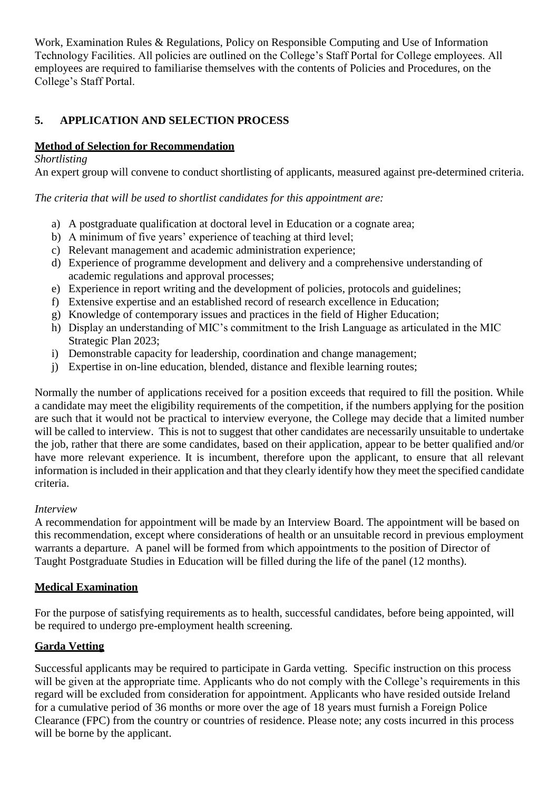Work, Examination Rules & Regulations, Policy on Responsible Computing and Use of Information Technology Facilities. All policies are outlined on the College's Staff Portal for College employees. All employees are required to familiarise themselves with the contents of Policies and Procedures, on the College's Staff Portal.

# **5. APPLICATION AND SELECTION PROCESS**

# **Method of Selection for Recommendation**

### *Shortlisting*

An expert group will convene to conduct shortlisting of applicants, measured against pre-determined criteria.

*The criteria that will be used to shortlist candidates for this appointment are:*

- a) A postgraduate qualification at doctoral level in Education or a cognate area;
- b) A minimum of five years' experience of teaching at third level;
- c) Relevant management and academic administration experience;
- d) Experience of programme development and delivery and a comprehensive understanding of academic regulations and approval processes;
- e) Experience in report writing and the development of policies, protocols and guidelines;
- f) Extensive expertise and an established record of research excellence in Education;
- g) Knowledge of contemporary issues and practices in the field of Higher Education;
- h) Display an understanding of MIC's commitment to the Irish Language as articulated in the MIC Strategic Plan 2023;
- i) Demonstrable capacity for leadership, coordination and change management;
- j) Expertise in on-line education, blended, distance and flexible learning routes;

Normally the number of applications received for a position exceeds that required to fill the position. While a candidate may meet the eligibility requirements of the competition, if the numbers applying for the position are such that it would not be practical to interview everyone, the College may decide that a limited number will be called to interview. This is not to suggest that other candidates are necessarily unsuitable to undertake the job, rather that there are some candidates, based on their application, appear to be better qualified and/or have more relevant experience. It is incumbent, therefore upon the applicant, to ensure that all relevant information is included in their application and that they clearly identify how they meet the specified candidate criteria.

#### *Interview*

A recommendation for appointment will be made by an Interview Board. The appointment will be based on this recommendation, except where considerations of health or an unsuitable record in previous employment warrants a departure. A panel will be formed from which appointments to the position of Director of Taught Postgraduate Studies in Education will be filled during the life of the panel (12 months).

### **Medical Examination**

For the purpose of satisfying requirements as to health, successful candidates, before being appointed, will be required to undergo pre-employment health screening.

### **Garda Vetting**

Successful applicants may be required to participate in Garda vetting. Specific instruction on this process will be given at the appropriate time. Applicants who do not comply with the College's requirements in this regard will be excluded from consideration for appointment. Applicants who have resided outside Ireland for a cumulative period of 36 months or more over the age of 18 years must furnish a Foreign Police Clearance (FPC) from the country or countries of residence. Please note; any costs incurred in this process will be borne by the applicant.